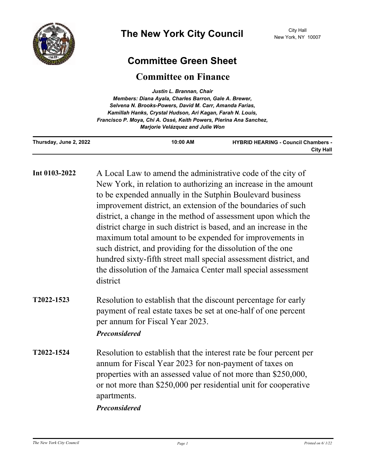

## **Committee Green Sheet**

## **Committee on Finance**

| Justin L. Brannan, Chair<br>Members: Diana Ayala, Charles Barron, Gale A. Brewer,<br>Selvena N. Brooks-Powers, David M. Carr, Amanda Farias,<br>Kamillah Hanks, Crystal Hudson, Ari Kagan, Farah N. Louis,<br>Francisco P. Moya, Chi A. Ossé, Keith Powers, Pierina Ana Sanchez,<br>Marjorie Velázquez and Julie Won |                                                                                                                                                                                                                                                                                                                                                                                                                                                                                                                                                                                                                                                                             |                                                                |
|----------------------------------------------------------------------------------------------------------------------------------------------------------------------------------------------------------------------------------------------------------------------------------------------------------------------|-----------------------------------------------------------------------------------------------------------------------------------------------------------------------------------------------------------------------------------------------------------------------------------------------------------------------------------------------------------------------------------------------------------------------------------------------------------------------------------------------------------------------------------------------------------------------------------------------------------------------------------------------------------------------------|----------------------------------------------------------------|
| Thursday, June 2, 2022                                                                                                                                                                                                                                                                                               | 10:00 AM                                                                                                                                                                                                                                                                                                                                                                                                                                                                                                                                                                                                                                                                    | <b>HYBRID HEARING - Council Chambers -</b><br><b>City Hall</b> |
| Int 0103-2022                                                                                                                                                                                                                                                                                                        | A Local Law to amend the administrative code of the city of<br>New York, in relation to authorizing an increase in the amount<br>to be expended annually in the Sutphin Boulevard business<br>improvement district, an extension of the boundaries of such<br>district, a change in the method of assessment upon which the<br>district charge in such district is based, and an increase in the<br>maximum total amount to be expended for improvements in<br>such district, and providing for the dissolution of the one<br>hundred sixty-fifth street mall special assessment district, and<br>the dissolution of the Jamaica Center mall special assessment<br>district |                                                                |
| T2022-1523                                                                                                                                                                                                                                                                                                           | Resolution to establish that the discount percentage for early<br>payment of real estate taxes be set at one-half of one percent<br>per annum for Fiscal Year 2023.<br><b>Preconsidered</b>                                                                                                                                                                                                                                                                                                                                                                                                                                                                                 |                                                                |
| T2022-1524                                                                                                                                                                                                                                                                                                           | Resolution to establish that the interest rate be four percent per<br>annum for Fiscal Year 2023 for non-payment of taxes on<br>properties with an assessed value of not more than \$250,000,<br>or not more than \$250,000 per residential unit for cooperative<br>apartments.<br>Preconsidered                                                                                                                                                                                                                                                                                                                                                                            |                                                                |